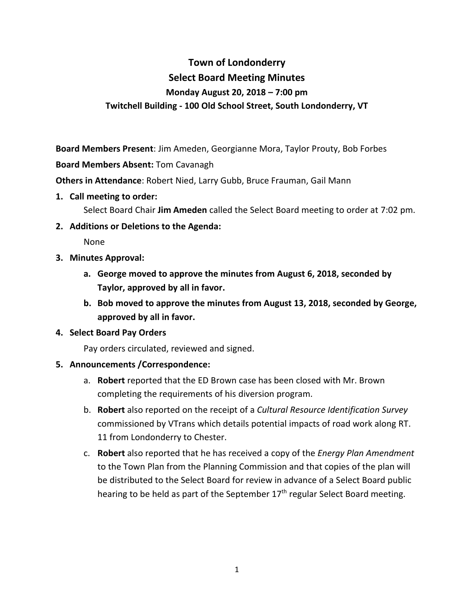# **Town of Londonderry Select Board Meeting Minutes Monday August 20, 2018 – 7:00 pm Twitchell Building - 100 Old School Street, South Londonderry, VT**

**Board Members Present**: Jim Ameden, Georgianne Mora, Taylor Prouty, Bob Forbes

**Board Members Absent:** Tom Cavanagh

**Others in Attendance**: Robert Nied, Larry Gubb, Bruce Frauman, Gail Mann

- **1. Call meeting to order:**
	- Select Board Chair **Jim Ameden** called the Select Board meeting to order at 7:02 pm.
- **2. Additions or Deletions to the Agenda:**

None

- **3. Minutes Approval:**
	- **a. George moved to approve the minutes from August 6, 2018, seconded by Taylor, approved by all in favor.**
	- **b. Bob moved to approve the minutes from August 13, 2018, seconded by George, approved by all in favor.**

#### **4. Select Board Pay Orders**

Pay orders circulated, reviewed and signed.

#### **5. Announcements /Correspondence:**

- a. **Robert** reported that the ED Brown case has been closed with Mr. Brown completing the requirements of his diversion program.
- b. **Robert** also reported on the receipt of a *Cultural Resource Identification Survey* commissioned by VTrans which details potential impacts of road work along RT. 11 from Londonderry to Chester.
- c. **Robert** also reported that he has received a copy of the *Energy Plan Amendment* to the Town Plan from the Planning Commission and that copies of the plan will be distributed to the Select Board for review in advance of a Select Board public hearing to be held as part of the September  $17<sup>th</sup>$  regular Select Board meeting.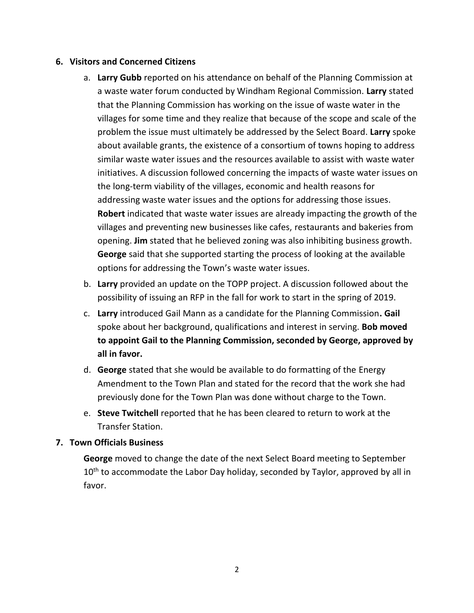#### **6. Visitors and Concerned Citizens**

- a. **Larry Gubb** reported on his attendance on behalf of the Planning Commission at a waste water forum conducted by Windham Regional Commission. **Larry** stated that the Planning Commission has working on the issue of waste water in the villages for some time and they realize that because of the scope and scale of the problem the issue must ultimately be addressed by the Select Board. **Larry** spoke about available grants, the existence of a consortium of towns hoping to address similar waste water issues and the resources available to assist with waste water initiatives. A discussion followed concerning the impacts of waste water issues on the long-term viability of the villages, economic and health reasons for addressing waste water issues and the options for addressing those issues. **Robert** indicated that waste water issues are already impacting the growth of the villages and preventing new businesses like cafes, restaurants and bakeries from opening. **Jim** stated that he believed zoning was also inhibiting business growth. **George** said that she supported starting the process of looking at the available options for addressing the Town's waste water issues.
- b. **Larry** provided an update on the TOPP project. A discussion followed about the possibility of issuing an RFP in the fall for work to start in the spring of 2019.
- c. **Larry** introduced Gail Mann as a candidate for the Planning Commission**. Gail**  spoke about her background, qualifications and interest in serving. **Bob moved to appoint Gail to the Planning Commission, seconded by George, approved by all in favor.**
- d. **George** stated that she would be available to do formatting of the Energy Amendment to the Town Plan and stated for the record that the work she had previously done for the Town Plan was done without charge to the Town.
- e. **Steve Twitchell** reported that he has been cleared to return to work at the Transfer Station.

#### **7. Town Officials Business**

**George** moved to change the date of the next Select Board meeting to September 10<sup>th</sup> to accommodate the Labor Day holiday, seconded by Taylor, approved by all in favor.